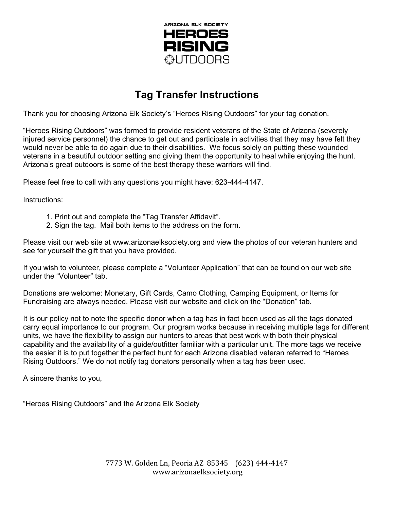

## **Tag Transfer Instructions**

Thank you for choosing Arizona Elk Society's "Heroes Rising Outdoors" for your tag donation.

"Heroes Rising Outdoors" was formed to provide resident veterans of the State of Arizona (severely injured service personnel) the chance to get out and participate in activities that they may have felt they would never be able to do again due to their disabilities. We focus solely on putting these wounded veterans in a beautiful outdoor setting and giving them the opportunity to heal while enjoying the hunt. Arizona's great outdoors is some of the best therapy these warriors will find.

Please feel free to call with any questions you might have: 623-444-4147.

Instructions:

- 1. Print out and complete the "Tag Transfer Affidavit".
- 2. Sign the tag. Mail both items to the address on the form.

Please visit our web site at www.arizonaelksociety.org and view the photos of our veteran hunters and see for yourself the gift that you have provided.

If you wish to volunteer, please complete a "Volunteer Application" that can be found on our web site under the "Volunteer" tab.

Donations are welcome: Monetary, Gift Cards, Camo Clothing, Camping Equipment, or Items for Fundraising are always needed. Please visit our website and click on the "Donation" tab.

It is our policy not to note the specific donor when a tag has in fact been used as all the tags donated carry equal importance to our program. Our program works because in receiving multiple tags for different units, we have the flexibility to assign our hunters to areas that best work with both their physical capability and the availability of a guide/outfitter familiar with a particular unit. The more tags we receive the easier it is to put together the perfect hunt for each Arizona disabled veteran referred to "Heroes Rising Outdoors." We do not notify tag donators personally when a tag has been used.

A sincere thanks to you,

"Heroes Rising Outdoors" and the Arizona Elk Society